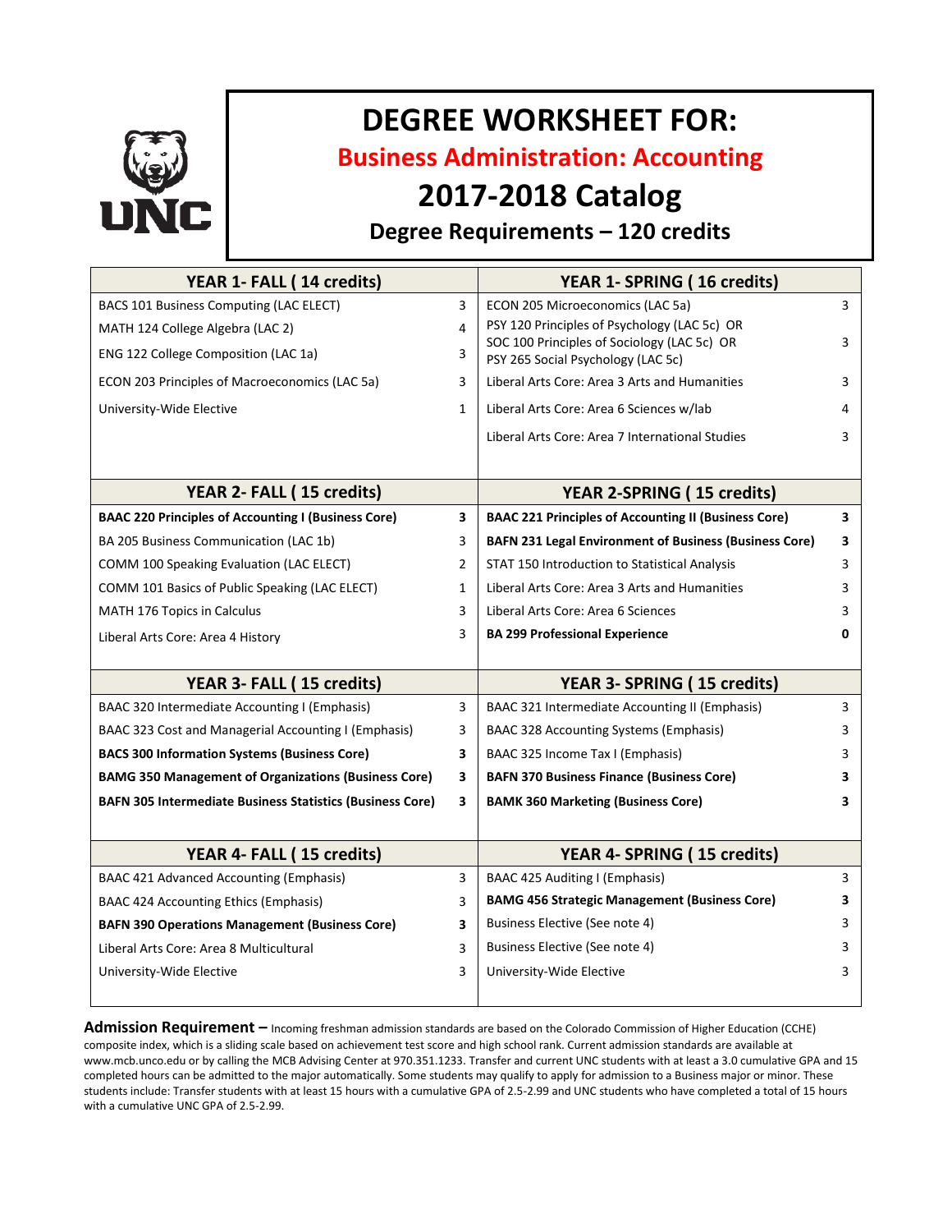

# **DEGREE WORKSHEET FOR:**

**Business Administration: Accounting**

## **2017-2018 Catalog**

### **Degree Requirements – 120 credits**

| YEAR 1- FALL (14 credits)                                        |                | YEAR 1- SPRING (16 credits)                                                       |              |
|------------------------------------------------------------------|----------------|-----------------------------------------------------------------------------------|--------------|
| BACS 101 Business Computing (LAC ELECT)                          | 3              | ECON 205 Microeconomics (LAC 5a)                                                  | 3            |
| MATH 124 College Algebra (LAC 2)                                 | 4              | PSY 120 Principles of Psychology (LAC 5c) OR                                      |              |
| ENG 122 College Composition (LAC 1a)                             | 3              | SOC 100 Principles of Sociology (LAC 5c) OR<br>PSY 265 Social Psychology (LAC 5c) | 3            |
| ECON 203 Principles of Macroeconomics (LAC 5a)                   | 3              | Liberal Arts Core: Area 3 Arts and Humanities                                     | 3            |
| University-Wide Elective                                         | $\mathbf{1}$   | Liberal Arts Core: Area 6 Sciences w/lab                                          | 4            |
|                                                                  |                | Liberal Arts Core: Area 7 International Studies                                   | 3            |
| YEAR 2- FALL (15 credits)                                        |                | <b>YEAR 2-SPRING (15 credits)</b>                                                 |              |
| <b>BAAC 220 Principles of Accounting I (Business Core)</b>       | 3              | <b>BAAC 221 Principles of Accounting II (Business Core)</b>                       | 3            |
| BA 205 Business Communication (LAC 1b)                           | 3              | <b>BAFN 231 Legal Environment of Business (Business Core)</b>                     | 3            |
| COMM 100 Speaking Evaluation (LAC ELECT)                         | $\overline{2}$ | STAT 150 Introduction to Statistical Analysis                                     | 3            |
| COMM 101 Basics of Public Speaking (LAC ELECT)                   | $\mathbf{1}$   | Liberal Arts Core: Area 3 Arts and Humanities                                     | 3            |
| MATH 176 Topics in Calculus                                      | 3              | Liberal Arts Core: Area 6 Sciences                                                | 3            |
| Liberal Arts Core: Area 4 History                                | 3              | <b>BA 299 Professional Experience</b>                                             | <sup>0</sup> |
|                                                                  |                |                                                                                   |              |
| YEAR 3- FALL (15 credits)                                        |                | YEAR 3- SPRING (15 credits)                                                       |              |
| BAAC 320 Intermediate Accounting I (Emphasis)                    | 3              | BAAC 321 Intermediate Accounting II (Emphasis)                                    | 3            |
| BAAC 323 Cost and Managerial Accounting I (Emphasis)             | 3              | <b>BAAC 328 Accounting Systems (Emphasis)</b>                                     | 3            |
| <b>BACS 300 Information Systems (Business Core)</b>              | 3              | BAAC 325 Income Tax I (Emphasis)                                                  | 3            |
| <b>BAMG 350 Management of Organizations (Business Core)</b>      | 3              | <b>BAFN 370 Business Finance (Business Core)</b>                                  | 3            |
| <b>BAFN 305 Intermediate Business Statistics (Business Core)</b> | 3              | <b>BAMK 360 Marketing (Business Core)</b>                                         | 3            |
|                                                                  |                |                                                                                   |              |
| YEAR 4- FALL (15 credits)                                        |                | YEAR 4- SPRING (15 credits)                                                       |              |
| BAAC 421 Advanced Accounting (Emphasis)                          | 3              | BAAC 425 Auditing I (Emphasis)                                                    | 3            |
| BAAC 424 Accounting Ethics (Emphasis)                            | 3              | <b>BAMG 456 Strategic Management (Business Core)</b>                              | 3            |
| <b>BAFN 390 Operations Management (Business Core)</b>            | 3              | Business Elective (See note 4)                                                    | 3            |
| Liberal Arts Core: Area 8 Multicultural                          | 3              | Business Elective (See note 4)                                                    | 3            |
| University-Wide Elective                                         | 3              | University-Wide Elective                                                          | 3            |
|                                                                  |                |                                                                                   |              |

**Admission Requirement –** Incoming freshman admission standards are based on the Colorado Commission of Higher Education (CCHE) composite index, which is a sliding scale based on achievement test score and high school rank. Current admission standards are available at www.mcb.unco.edu or by calling the MCB Advising Center at 970.351.1233. Transfer and current UNC students with at least a 3.0 cumulative GPA and 15 completed hours can be admitted to the major automatically. Some students may qualify to apply for admission to a Business major or minor. These students include: Transfer students with at least 15 hours with a cumulative GPA of 2.5-2.99 and UNC students who have completed a total of 15 hours with a cumulative UNC GPA of 2.5-2.99.